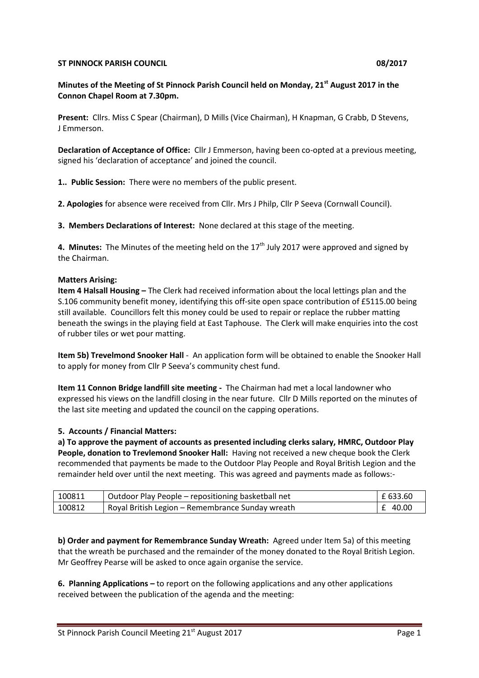## **ST PINNOCK PARISH COUNCIL 08/2017**

# **Minutes of the Meeting of St Pinnock Parish Council held on Monday, 21st August 2017 in the Connon Chapel Room at 7.30pm.**

**Present:** Cllrs. Miss C Spear (Chairman), D Mills (Vice Chairman), H Knapman, G Crabb, D Stevens, J Emmerson.

**Declaration of Acceptance of Office:** Cllr J Emmerson, having been co-opted at a previous meeting, signed his 'declaration of acceptance' and joined the council.

**1.. Public Session:** There were no members of the public present.

**2. Apologies** for absence were received from Cllr. Mrs J Philp, Cllr P Seeva (Cornwall Council).

**3. Members Declarations of Interest:** None declared at this stage of the meeting.

**4. Minutes:** The Minutes of the meeting held on the 17<sup>th</sup> July 2017 were approved and signed by the Chairman.

# **Matters Arising:**

**Item 4 Halsall Housing –** The Clerk had received information about the local lettings plan and the S.106 community benefit money, identifying this off-site open space contribution of £5115.00 being still available. Councillors felt this money could be used to repair or replace the rubber matting beneath the swings in the playing field at East Taphouse. The Clerk will make enquiries into the cost of rubber tiles or wet pour matting.

**Item 5b) Trevelmond Snooker Hall** - An application form will be obtained to enable the Snooker Hall to apply for money from Cllr P Seeva's community chest fund.

**Item 11 Connon Bridge landfill site meeting -** The Chairman had met a local landowner who expressed his views on the landfill closing in the near future. Cllr D Mills reported on the minutes of the last site meeting and updated the council on the capping operations.

# **5. Accounts / Financial Matters:**

**a) To approve the payment of accounts as presented including clerks salary, HMRC, Outdoor Play People, donation to Trevlemond Snooker Hall:** Having not received a new cheque book the Clerk recommended that payments be made to the Outdoor Play People and Royal British Legion and the remainder held over until the next meeting. This was agreed and payments made as follows:-

| 100811 | Outdoor Play People – repositioning basketball net | £ 633.60 |
|--------|----------------------------------------------------|----------|
| 100812 | Royal British Legion – Remembrance Sunday wreath   | £ 40.00  |

**b) Order and payment for Remembrance Sunday Wreath:** Agreed under Item 5a) of this meeting that the wreath be purchased and the remainder of the money donated to the Royal British Legion. Mr Geoffrey Pearse will be asked to once again organise the service.

**6. Planning Applications –** to report on the following applications and any other applications received between the publication of the agenda and the meeting: